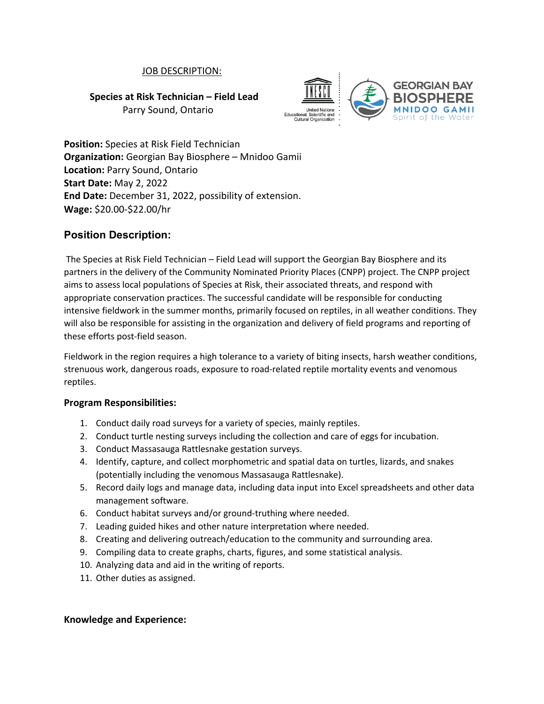### JOB DESCRIPTION:

**Species at Risk Technician – Field Lead**

Parry Sound, Ontario



**Position:** Species at Risk Field Technician **Organization:** Georgian Bay Biosphere – Mnidoo Gamii **Location:** Parry Sound, Ontario **Start Date:** May 2, 2022 **End Date:** December 31, 2022, possibility of extension. **Wage:** \$20.00-\$22.00/hr

# **Position Description:**

The Species at Risk Field Technician – Field Lead will support the Georgian Bay Biosphere and its partners in the delivery of the Community Nominated Priority Places (CNPP) project. The CNPP project aims to assess local populations of Species at Risk, their associated threats, and respond with appropriate conservation practices. The successful candidate will be responsible for conducting intensive fieldwork in the summer months, primarily focused on reptiles, in all weather conditions. They will also be responsible for assisting in the organization and delivery of field programs and reporting of these efforts post-field season.

Fieldwork in the region requires a high tolerance to a variety of biting insects, harsh weather conditions, strenuous work, dangerous roads, exposure to road-related reptile mortality events and venomous reptiles.

### **Program Responsibilities:**

- 1. Conduct daily road surveys for a variety of species, mainly reptiles.
- 2. Conduct turtle nesting surveys including the collection and care of eggs for incubation.
- 3. Conduct Massasauga Rattlesnake gestation surveys.
- 4. Identify, capture, and collect morphometric and spatial data on turtles, lizards, and snakes (potentially including the venomous Massasauga Rattlesnake).
- 5. Record daily logs and manage data, including data input into Excel spreadsheets and other data management software.
- 6. Conduct habitat surveys and/or ground-truthing where needed.
- 7. Leading guided hikes and other nature interpretation where needed.
- 8. Creating and delivering outreach/education to the community and surrounding area.
- 9. Compiling data to create graphs, charts, figures, and some statistical analysis.
- 10. Analyzing data and aid in the writing of reports.
- 11. Other duties as assigned.

### **Knowledge and Experience:**